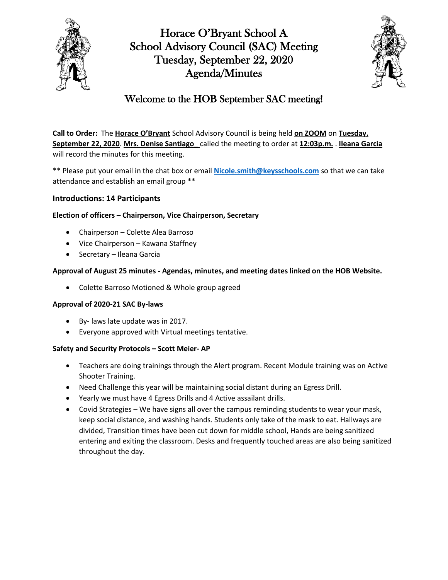

Horace O'Bryant School A School Advisory Council (SAC) Meeting Tuesday, September 22, 2020 Agenda/Minutes



## Welcome to the HOB September SAC meeting!

**Call to Order:** The **Horace O'Bryant** School Advisory Council is being held **on ZOOM** on **Tuesday, September 22, 2020**. **Mrs. Denise Santiago\_** called the meeting to order at **12:03p.m.** . **Ileana Garcia**  will record the minutes for this meeting.

\*\* Please put your email in the chat box or email **[Nicole.smith@keysschools.com](Nicole.smith@keysschools.com%20)** so that we can take attendance and establish an email group \*\*

### **Introductions: 14 Participants**

#### **Election of officers – Chairperson, Vice Chairperson, Secretary**

- Chairperson Colette Alea Barroso
- Vice Chairperson Kawana Staffney
- Secretary Ileana Garcia

#### **Approval of August 25 minutes - Agendas, minutes, and meeting dates linked on the HOB Website.**

Colette Barroso Motioned & Whole group agreed

#### **Approval of 2020-21 SAC By-laws**

- By- laws late update was in 2017.
- Everyone approved with Virtual meetings tentative.

#### **Safety and Security Protocols – Scott Meier- AP**

- Teachers are doing trainings through the Alert program. Recent Module training was on Active Shooter Training.
- Need Challenge this year will be maintaining social distant during an Egress Drill.
- Yearly we must have 4 Egress Drills and 4 Active assailant drills.
- Covid Strategies We have signs all over the campus reminding students to wear your mask, keep social distance, and washing hands. Students only take of the mask to eat. Hallways are divided, Transition times have been cut down for middle school, Hands are being sanitized entering and exiting the classroom. Desks and frequently touched areas are also being sanitized throughout the day.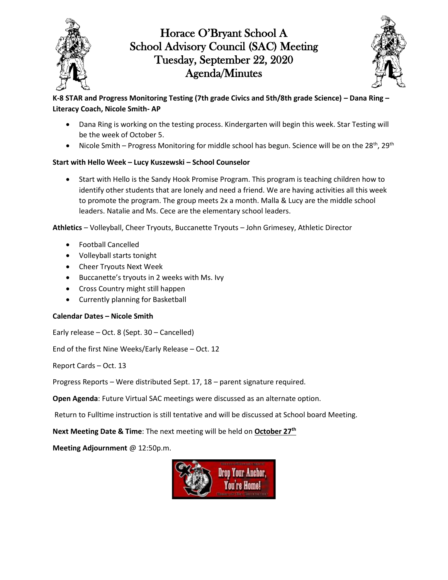

# Horace O'Bryant School A School Advisory Council (SAC) Meeting Tuesday, September 22, 2020 Agenda/Minutes



## **K-8 STAR and Progress Monitoring Testing (7th grade Civics and 5th/8th grade Science) – Dana Ring – Literacy Coach, Nicole Smith- AP**

- Dana Ring is working on the testing process. Kindergarten will begin this week. Star Testing will be the week of October 5.
- Nicole Smith Progress Monitoring for middle school has begun. Science will be on the 28<sup>th</sup>, 29<sup>th</sup>

## **Start with Hello Week – Lucy Kuszewski – School Counselor**

 Start with Hello is the Sandy Hook Promise Program. This program is teaching children how to identify other students that are lonely and need a friend. We are having activities all this week to promote the program. The group meets 2x a month. Malla & Lucy are the middle school leaders. Natalie and Ms. Cece are the elementary school leaders.

**Athletics** – Volleyball, Cheer Tryouts, Buccanette Tryouts – John Grimesey, Athletic Director

- Football Cancelled
- Volleyball starts tonight
- Cheer Tryouts Next Week
- Buccanette's tryouts in 2 weeks with Ms. Ivy
- Cross Country might still happen
- Currently planning for Basketball

## **Calendar Dates – Nicole Smith**

Early release – Oct. 8 (Sept. 30 – Cancelled)

End of the first Nine Weeks/Early Release – Oct. 12

Report Cards – Oct. 13

Progress Reports – Were distributed Sept. 17, 18 – parent signature required.

**Open Agenda**: Future Virtual SAC meetings were discussed as an alternate option.

Return to Fulltime instruction is still tentative and will be discussed at School board Meeting.

**Next Meeting Date & Time**: The next meeting will be held on **October 27th**

**Meeting Adjournment** @ 12:50p.m.